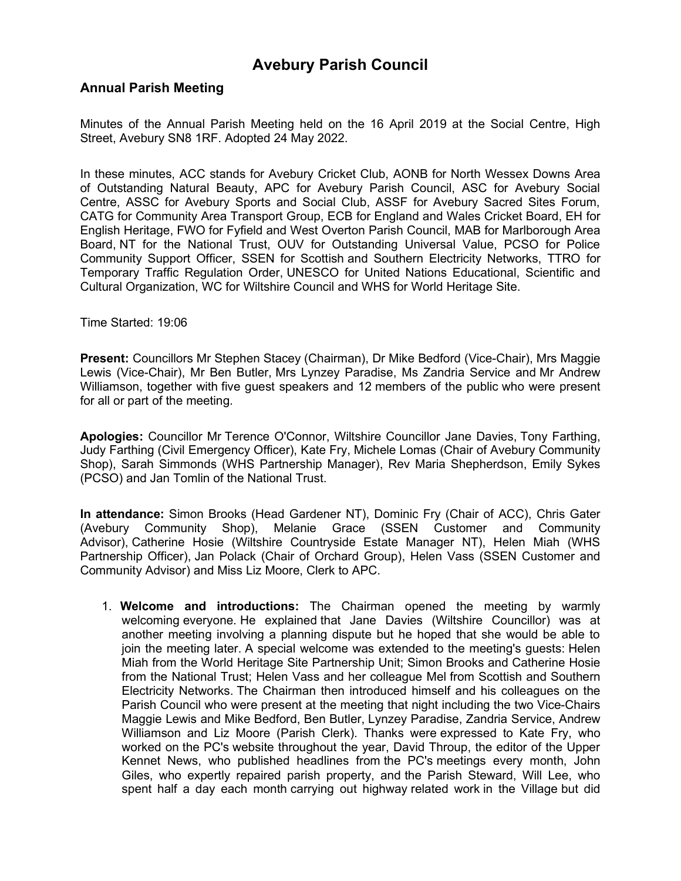#### **Annual Parish Meeting**

Minutes of the Annual Parish Meeting held on the 16 April 2019 at the Social Centre, High Street, Avebury SN8 1RF. Adopted 24 May 2022.

In these minutes, ACC stands for Avebury Cricket Club, AONB for North Wessex Downs Area of Outstanding Natural Beauty, APC for Avebury Parish Council, ASC for Avebury Social Centre, ASSC for Avebury Sports and Social Club, ASSF for Avebury Sacred Sites Forum, CATG for Community Area Transport Group, ECB for England and Wales Cricket Board, EH for English Heritage, FWO for Fyfield and West Overton Parish Council, MAB for Marlborough Area Board, NT for the National Trust, OUV for Outstanding Universal Value, PCSO for Police Community Support Officer, SSEN for Scottish and Southern Electricity Networks, TTRO for Temporary Traffic Regulation Order, UNESCO for United Nations Educational, Scientific and Cultural Organization, WC for Wiltshire Council and WHS for World Heritage Site.

Time Started: 19:06

**Present:** Councillors Mr Stephen Stacey (Chairman), Dr Mike Bedford (Vice-Chair), Mrs Maggie Lewis (Vice-Chair), Mr Ben Butler, Mrs Lynzey Paradise, Ms Zandria Service and Mr Andrew Williamson, together with five guest speakers and 12 members of the public who were present for all or part of the meeting.

**Apologies:** Councillor Mr Terence O'Connor, Wiltshire Councillor Jane Davies, Tony Farthing, Judy Farthing (Civil Emergency Officer), Kate Fry, Michele Lomas (Chair of Avebury Community Shop), Sarah Simmonds (WHS Partnership Manager), Rev Maria Shepherdson, Emily Sykes (PCSO) and Jan Tomlin of the National Trust.

**In attendance:** Simon Brooks (Head Gardener NT), Dominic Fry (Chair of ACC), Chris Gater (Avebury Community Shop), Melanie Grace (SSEN Customer and Community Advisor), Catherine Hosie (Wiltshire Countryside Estate Manager NT), Helen Miah (WHS Partnership Officer), Jan Polack (Chair of Orchard Group), Helen Vass (SSEN Customer and Community Advisor) and Miss Liz Moore, Clerk to APC.

1. **Welcome and introductions:** The Chairman opened the meeting by warmly welcoming everyone. He explained that Jane Davies (Wiltshire Councillor) was at another meeting involving a planning dispute but he hoped that she would be able to join the meeting later. A special welcome was extended to the meeting's guests: Helen Miah from the World Heritage Site Partnership Unit; Simon Brooks and Catherine Hosie from the National Trust; Helen Vass and her colleague Mel from Scottish and Southern Electricity Networks. The Chairman then introduced himself and his colleagues on the Parish Council who were present at the meeting that night including the two Vice-Chairs Maggie Lewis and Mike Bedford, Ben Butler, Lynzey Paradise, Zandria Service, Andrew Williamson and Liz Moore (Parish Clerk). Thanks were expressed to Kate Fry, who worked on the PC's website throughout the year, David Throup, the editor of the Upper Kennet News, who published headlines from the PC's meetings every month, John Giles, who expertly repaired parish property, and the Parish Steward, Will Lee, who spent half a day each month carrying out highway related work in the Village but did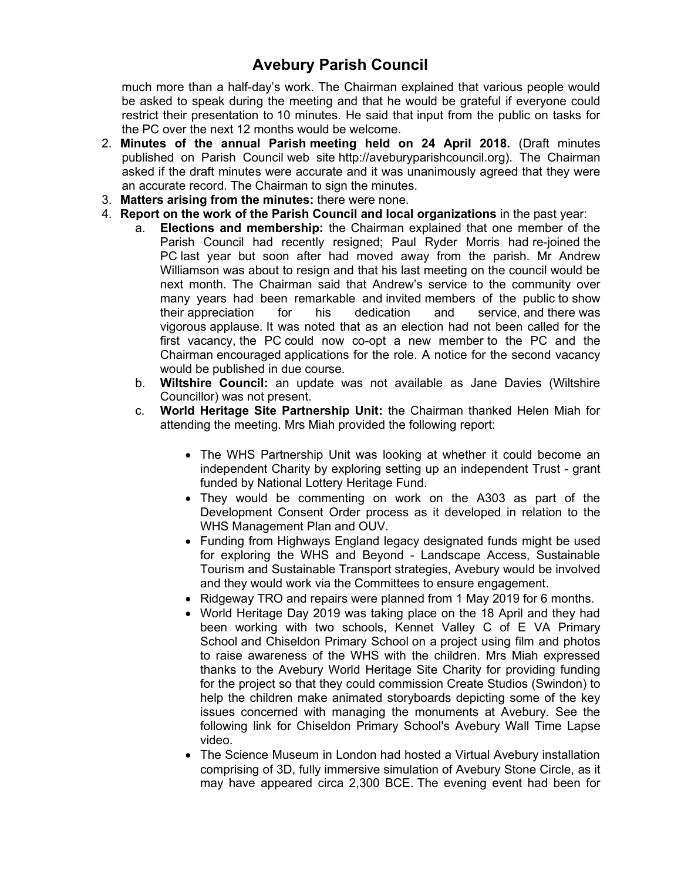much more than a half-day's work. The Chairman explained that various people would be asked to speak during the meeting and that he would be grateful if everyone could restrict their presentation to 10 minutes. He said that input from the public on tasks for the PC over the next 12 months would be welcome.

- 2. **Minutes of the annual Parish meeting held on 24 April 2018.** (Draft minutes published on Parish Council web site http://aveburyparishcouncil.org). The Chairman asked if the draft minutes were accurate and it was unanimously agreed that they were an accurate record. The Chairman to sign the minutes.
- 3. **Matters arising from the minutes:** there were none.
- 4. **Report on the work of the Parish Council and local organizations** in the past year:
	- a. **Elections and membership:** the Chairman explained that one member of the Parish Council had recently resigned; Paul Ryder Morris had re-joined the PC last year but soon after had moved away from the parish. Mr Andrew Williamson was about to resign and that his last meeting on the council would be next month. The Chairman said that Andrew's service to the community over many years had been remarkable and invited members of the public to show their appreciation for his dedication and service, and there was vigorous applause. It was noted that as an election had not been called for the first vacancy, the PC could now co-opt a new member to the PC and the Chairman encouraged applications for the role. A notice for the second vacancy would be published in due course.
	- b. **Wiltshire Council:** an update was not available as Jane Davies (Wiltshire Councillor) was not present.
	- c. **World Heritage Site Partnership Unit:** the Chairman thanked Helen Miah for attending the meeting. Mrs Miah provided the following report:
		- The WHS Partnership Unit was looking at whether it could become an independent Charity by exploring setting up an independent Trust - grant funded by National Lottery Heritage Fund.
		- They would be commenting on work on the A303 as part of the Development Consent Order process as it developed in relation to the WHS Management Plan and OUV.
		- Funding from Highways England legacy designated funds might be used for exploring the WHS and Beyond - Landscape Access, Sustainable Tourism and Sustainable Transport strategies, Avebury would be involved and they would work via the Committees to ensure engagement.
		- Ridgeway TRO and repairs were planned from 1 May 2019 for 6 months.
		- World Heritage Day 2019 was taking place on the 18 April and they had been working with two schools, Kennet Valley C of E VA Primary School and Chiseldon Primary School on a project using film and photos to raise awareness of the WHS with the children. Mrs Miah expressed thanks to the Avebury World Heritage Site Charity for providing funding for the project so that they could commission Create Studios (Swindon) to help the children make animated storyboards depicting some of the key issues concerned with managing the monuments at Avebury. See the following link for Chiseldon Primary School's Avebury Wall Time Lapse video.
		- The Science Museum in London had hosted a Virtual Avebury installation comprising of 3D, fully immersive simulation of Avebury Stone Circle, as it may have appeared circa 2,300 BCE. The evening event had been for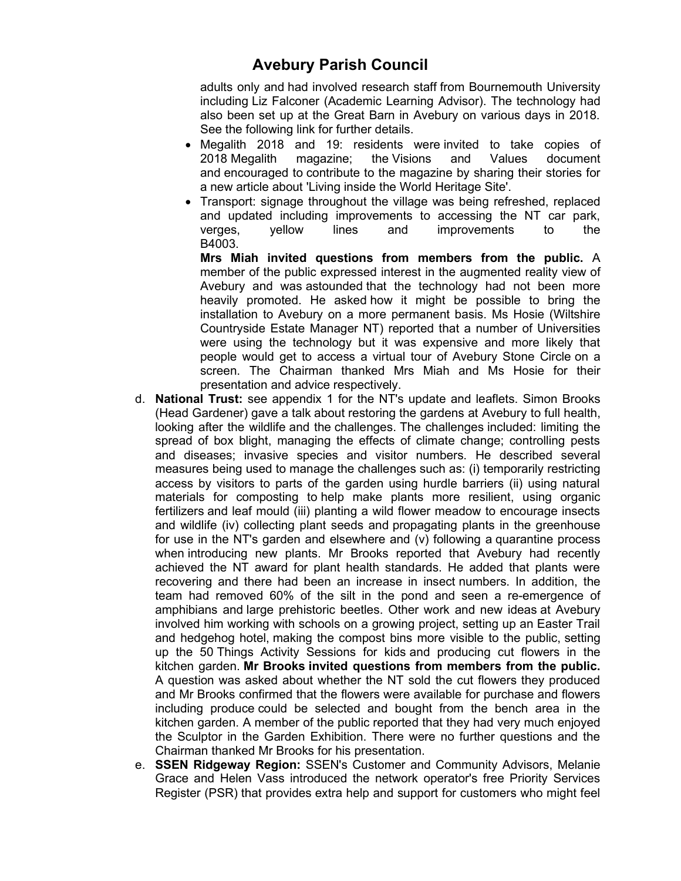adults only and had involved research staff from Bournemouth University including Liz Falconer (Academic Learning Advisor). The technology had also been set up at the Great Barn in Avebury on various days in 2018. See the following link for further details.

- Megalith 2018 and 19: residents were invited to take copies of 2018 Megalith magazine; the Visions and Values document and encouraged to contribute to the magazine by sharing their stories for a new article about 'Living inside the World Heritage Site'.
- Transport: signage throughout the village was being refreshed, replaced and updated including improvements to accessing the NT car park, verges, yellow lines and improvements to the B4003.

**Mrs Miah invited questions from members from the public.** A member of the public expressed interest in the augmented reality view of Avebury and was astounded that the technology had not been more heavily promoted. He asked how it might be possible to bring the installation to Avebury on a more permanent basis. Ms Hosie (Wiltshire Countryside Estate Manager NT) reported that a number of Universities were using the technology but it was expensive and more likely that people would get to access a virtual tour of Avebury Stone Circle on a screen. The Chairman thanked Mrs Miah and Ms Hosie for their presentation and advice respectively.

- d. **National Trust:** see appendix 1 for the NT's update and leaflets. Simon Brooks (Head Gardener) gave a talk about restoring the gardens at Avebury to full health, looking after the wildlife and the challenges. The challenges included: limiting the spread of box blight, managing the effects of climate change; controlling pests and diseases; invasive species and visitor numbers. He described several measures being used to manage the challenges such as: (i) temporarily restricting access by visitors to parts of the garden using hurdle barriers (ii) using natural materials for composting to help make plants more resilient, using organic fertilizers and leaf mould (iii) planting a wild flower meadow to encourage insects and wildlife (iv) collecting plant seeds and propagating plants in the greenhouse for use in the NT's garden and elsewhere and (v) following a quarantine process when introducing new plants. Mr Brooks reported that Avebury had recently achieved the NT award for plant health standards. He added that plants were recovering and there had been an increase in insect numbers. In addition, the team had removed 60% of the silt in the pond and seen a re-emergence of amphibians and large prehistoric beetles. Other work and new ideas at Avebury involved him working with schools on a growing project, setting up an Easter Trail and hedgehog hotel, making the compost bins more visible to the public, setting up the 50 Things Activity Sessions for kids and producing cut flowers in the kitchen garden. **Mr Brooks invited questions from members from the public.** A question was asked about whether the NT sold the cut flowers they produced and Mr Brooks confirmed that the flowers were available for purchase and flowers including produce could be selected and bought from the bench area in the kitchen garden. A member of the public reported that they had very much enjoyed the Sculptor in the Garden Exhibition. There were no further questions and the Chairman thanked Mr Brooks for his presentation.
- e. **SSEN Ridgeway Region:** SSEN's Customer and Community Advisors, Melanie Grace and Helen Vass introduced the network operator's free Priority Services Register (PSR) that provides extra help and support for customers who might feel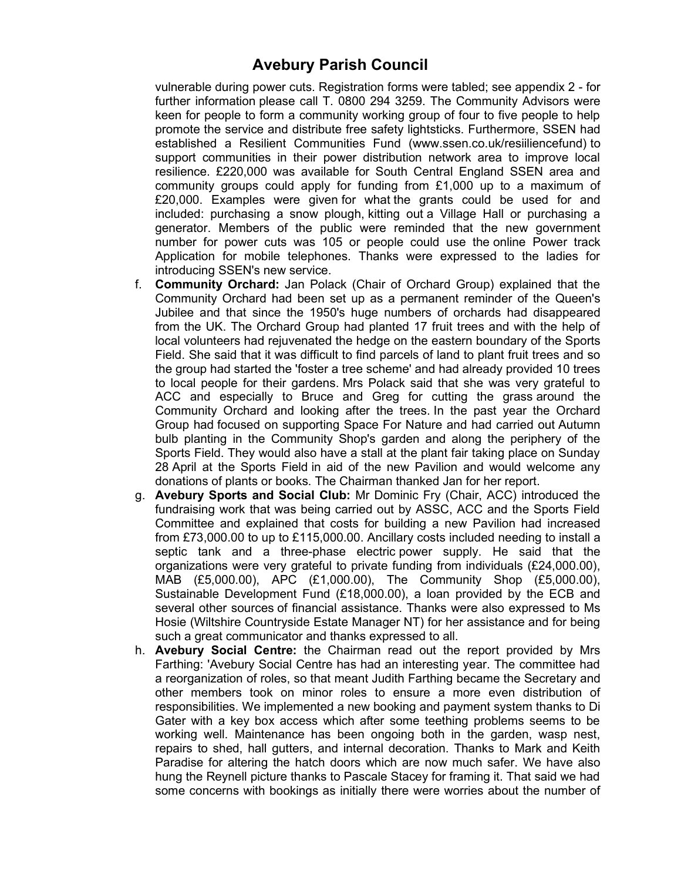vulnerable during power cuts. Registration forms were tabled; see appendix 2 - for further information please call T. 0800 294 3259. The Community Advisors were keen for people to form a community working group of four to five people to help promote the service and distribute free safety lightsticks. Furthermore, SSEN had established a Resilient Communities Fund (www.ssen.co.uk/resiiliencefund) to support communities in their power distribution network area to improve local resilience. £220,000 was available for South Central England SSEN area and community groups could apply for funding from £1,000 up to a maximum of £20,000. Examples were given for what the grants could be used for and included: purchasing a snow plough, kitting out a Village Hall or purchasing a generator. Members of the public were reminded that the new government number for power cuts was 105 or people could use the online Power track Application for mobile telephones. Thanks were expressed to the ladies for introducing SSEN's new service.

- f. **Community Orchard:** Jan Polack (Chair of Orchard Group) explained that the Community Orchard had been set up as a permanent reminder of the Queen's Jubilee and that since the 1950's huge numbers of orchards had disappeared from the UK. The Orchard Group had planted 17 fruit trees and with the help of local volunteers had rejuvenated the hedge on the eastern boundary of the Sports Field. She said that it was difficult to find parcels of land to plant fruit trees and so the group had started the 'foster a tree scheme' and had already provided 10 trees to local people for their gardens. Mrs Polack said that she was very grateful to ACC and especially to Bruce and Greg for cutting the grass around the Community Orchard and looking after the trees. In the past year the Orchard Group had focused on supporting Space For Nature and had carried out Autumn bulb planting in the Community Shop's garden and along the periphery of the Sports Field. They would also have a stall at the plant fair taking place on Sunday 28 April at the Sports Field in aid of the new Pavilion and would welcome any donations of plants or books. The Chairman thanked Jan for her report.
- g. **Avebury Sports and Social Club:** Mr Dominic Fry (Chair, ACC) introduced the fundraising work that was being carried out by ASSC, ACC and the Sports Field Committee and explained that costs for building a new Pavilion had increased from £73,000.00 to up to £115,000.00. Ancillary costs included needing to install a septic tank and a three-phase electric power supply. He said that the organizations were very grateful to private funding from individuals (£24,000.00), MAB (£5,000.00), APC (£1,000.00), The Community Shop (£5,000.00), Sustainable Development Fund (£18,000.00), a loan provided by the ECB and several other sources of financial assistance. Thanks were also expressed to Ms Hosie (Wiltshire Countryside Estate Manager NT) for her assistance and for being such a great communicator and thanks expressed to all.
- h. **Avebury Social Centre:** the Chairman read out the report provided by Mrs Farthing: 'Avebury Social Centre has had an interesting year. The committee had a reorganization of roles, so that meant Judith Farthing became the Secretary and other members took on minor roles to ensure a more even distribution of responsibilities. We implemented a new booking and payment system thanks to Di Gater with a key box access which after some teething problems seems to be working well. Maintenance has been ongoing both in the garden, wasp nest, repairs to shed, hall gutters, and internal decoration. Thanks to Mark and Keith Paradise for altering the hatch doors which are now much safer. We have also hung the Reynell picture thanks to Pascale Stacey for framing it. That said we had some concerns with bookings as initially there were worries about the number of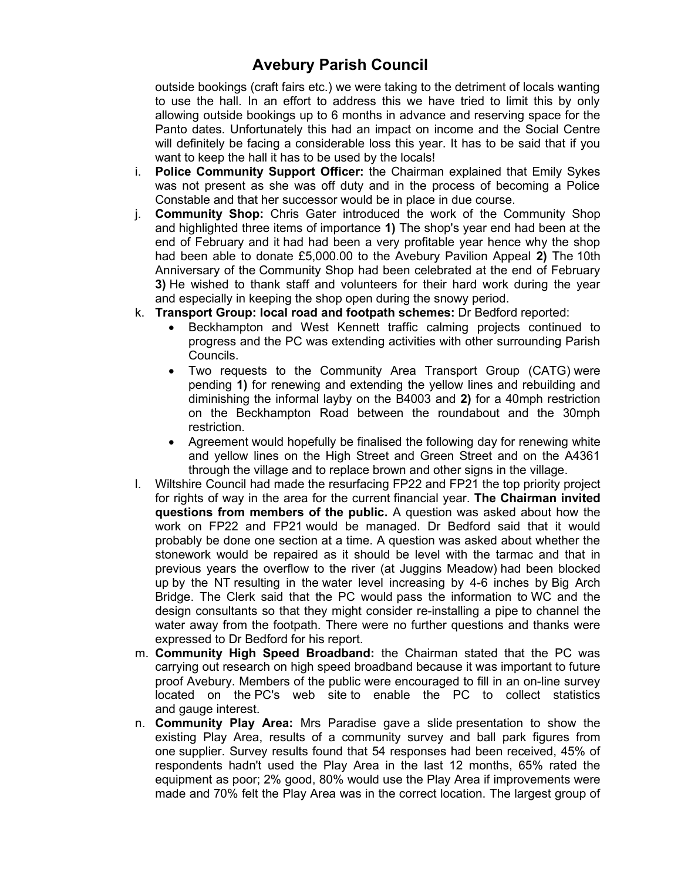outside bookings (craft fairs etc.) we were taking to the detriment of locals wanting to use the hall. In an effort to address this we have tried to limit this by only allowing outside bookings up to 6 months in advance and reserving space for the Panto dates. Unfortunately this had an impact on income and the Social Centre will definitely be facing a considerable loss this year. It has to be said that if you want to keep the hall it has to be used by the locals!

- i. **Police Community Support Officer:** the Chairman explained that Emily Sykes was not present as she was off duty and in the process of becoming a Police Constable and that her successor would be in place in due course.
- j. **Community Shop:** Chris Gater introduced the work of the Community Shop and highlighted three items of importance **1)** The shop's year end had been at the end of February and it had had been a very profitable year hence why the shop had been able to donate £5,000.00 to the Avebury Pavilion Appeal **2)** The 10th Anniversary of the Community Shop had been celebrated at the end of February **3)** He wished to thank staff and volunteers for their hard work during the year and especially in keeping the shop open during the snowy period.
- k. **Transport Group: local road and footpath schemes:** Dr Bedford reported:
	- Beckhampton and West Kennett traffic calming projects continued to progress and the PC was extending activities with other surrounding Parish Councils.
	- Two requests to the Community Area Transport Group (CATG) were pending **1)** for renewing and extending the yellow lines and rebuilding and diminishing the informal layby on the B4003 and **2)** for a 40mph restriction on the Beckhampton Road between the roundabout and the 30mph restriction.
	- Agreement would hopefully be finalised the following day for renewing white and yellow lines on the High Street and Green Street and on the A4361 through the village and to replace brown and other signs in the village.
- l. Wiltshire Council had made the resurfacing FP22 and FP21 the top priority project for rights of way in the area for the current financial year. **The Chairman invited questions from members of the public.** A question was asked about how the work on FP22 and FP21 would be managed. Dr Bedford said that it would probably be done one section at a time. A question was asked about whether the stonework would be repaired as it should be level with the tarmac and that in previous years the overflow to the river (at Juggins Meadow) had been blocked up by the NT resulting in the water level increasing by 4-6 inches by Big Arch Bridge. The Clerk said that the PC would pass the information to WC and the design consultants so that they might consider re-installing a pipe to channel the water away from the footpath. There were no further questions and thanks were expressed to Dr Bedford for his report.
- m. **Community High Speed Broadband:** the Chairman stated that the PC was carrying out research on high speed broadband because it was important to future proof Avebury. Members of the public were encouraged to fill in an on-line survey located on the PC's web site to enable the PC to collect statistics and gauge interest.
- n. **Community Play Area:** Mrs Paradise gave a slide presentation to show the existing Play Area, results of a community survey and ball park figures from one supplier. Survey results found that 54 responses had been received, 45% of respondents hadn't used the Play Area in the last 12 months, 65% rated the equipment as poor; 2% good, 80% would use the Play Area if improvements were made and 70% felt the Play Area was in the correct location. The largest group of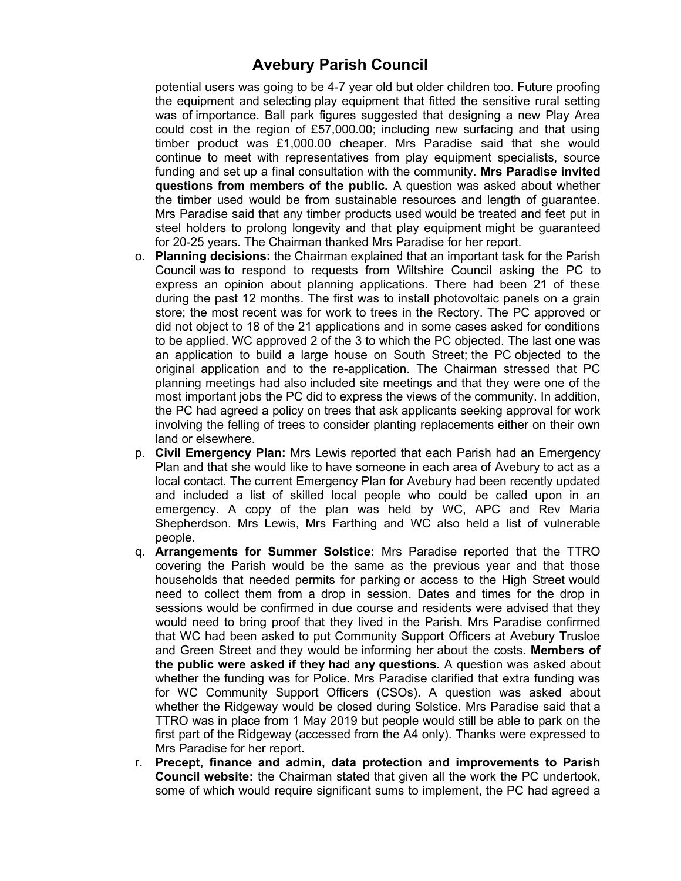potential users was going to be 4-7 year old but older children too. Future proofing the equipment and selecting play equipment that fitted the sensitive rural setting was of importance. Ball park figures suggested that designing a new Play Area could cost in the region of £57,000.00; including new surfacing and that using timber product was £1,000.00 cheaper. Mrs Paradise said that she would continue to meet with representatives from play equipment specialists, source funding and set up a final consultation with the community. **Mrs Paradise invited questions from members of the public.** A question was asked about whether the timber used would be from sustainable resources and length of guarantee. Mrs Paradise said that any timber products used would be treated and feet put in steel holders to prolong longevity and that play equipment might be guaranteed for 20-25 years. The Chairman thanked Mrs Paradise for her report.

- o. **Planning decisions:** the Chairman explained that an important task for the Parish Council was to respond to requests from Wiltshire Council asking the PC to express an opinion about planning applications. There had been 21 of these during the past 12 months. The first was to install photovoltaic panels on a grain store; the most recent was for work to trees in the Rectory. The PC approved or did not object to 18 of the 21 applications and in some cases asked for conditions to be applied. WC approved 2 of the 3 to which the PC objected. The last one was an application to build a large house on South Street; the PC objected to the original application and to the re-application. The Chairman stressed that PC planning meetings had also included site meetings and that they were one of the most important jobs the PC did to express the views of the community. In addition, the PC had agreed a policy on trees that ask applicants seeking approval for work involving the felling of trees to consider planting replacements either on their own land or elsewhere.
- p. **Civil Emergency Plan:** Mrs Lewis reported that each Parish had an Emergency Plan and that she would like to have someone in each area of Avebury to act as a local contact. The current Emergency Plan for Avebury had been recently updated and included a list of skilled local people who could be called upon in an emergency. A copy of the plan was held by WC, APC and Rev Maria Shepherdson. Mrs Lewis, Mrs Farthing and WC also held a list of vulnerable people.
- q. **Arrangements for Summer Solstice:** Mrs Paradise reported that the TTRO covering the Parish would be the same as the previous year and that those households that needed permits for parking or access to the High Street would need to collect them from a drop in session. Dates and times for the drop in sessions would be confirmed in due course and residents were advised that they would need to bring proof that they lived in the Parish. Mrs Paradise confirmed that WC had been asked to put Community Support Officers at Avebury Trusloe and Green Street and they would be informing her about the costs. **Members of the public were asked if they had any questions.** A question was asked about whether the funding was for Police. Mrs Paradise clarified that extra funding was for WC Community Support Officers (CSOs). A question was asked about whether the Ridgeway would be closed during Solstice. Mrs Paradise said that a TTRO was in place from 1 May 2019 but people would still be able to park on the first part of the Ridgeway (accessed from the A4 only). Thanks were expressed to Mrs Paradise for her report.
- r. **Precept, finance and admin, data protection and improvements to Parish Council website:** the Chairman stated that given all the work the PC undertook, some of which would require significant sums to implement, the PC had agreed a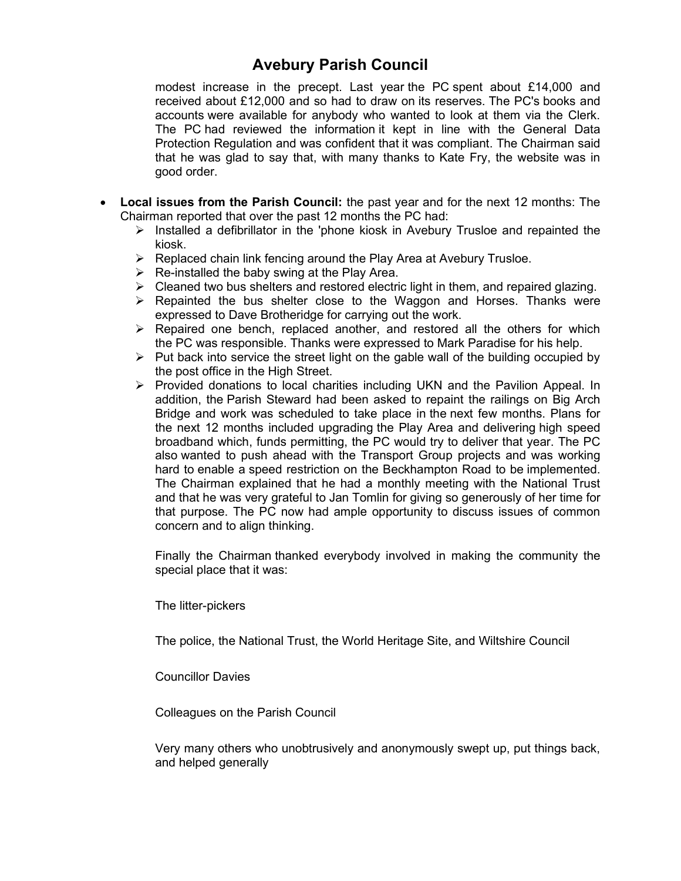modest increase in the precept. Last year the PC spent about £14,000 and received about £12,000 and so had to draw on its reserves. The PC's books and accounts were available for anybody who wanted to look at them via the Clerk. The PC had reviewed the information it kept in line with the General Data Protection Regulation and was confident that it was compliant. The Chairman said that he was glad to say that, with many thanks to Kate Fry, the website was in good order.

- **Local issues from the Parish Council:** the past year and for the next 12 months: The Chairman reported that over the past 12 months the PC had:
	- $\triangleright$  Installed a defibrillator in the 'phone kiosk in Avebury Trusloe and repainted the kiosk.
	- $\triangleright$  Replaced chain link fencing around the Play Area at Avebury Trusloe.
	- $\triangleright$  Re-installed the baby swing at the Play Area.
	- $\triangleright$  Cleaned two bus shelters and restored electric light in them, and repaired glazing.
	- $\triangleright$  Repainted the bus shelter close to the Waggon and Horses. Thanks were expressed to Dave Brotheridge for carrying out the work.
	- > Repaired one bench, replaced another, and restored all the others for which the PC was responsible. Thanks were expressed to Mark Paradise for his help.
	- $\triangleright$  Put back into service the street light on the gable wall of the building occupied by the post office in the High Street.
	- $\triangleright$  Provided donations to local charities including UKN and the Pavilion Appeal. In addition, the Parish Steward had been asked to repaint the railings on Big Arch Bridge and work was scheduled to take place in the next few months. Plans for the next 12 months included upgrading the Play Area and delivering high speed broadband which, funds permitting, the PC would try to deliver that year. The PC also wanted to push ahead with the Transport Group projects and was working hard to enable a speed restriction on the Beckhampton Road to be implemented. The Chairman explained that he had a monthly meeting with the National Trust and that he was very grateful to Jan Tomlin for giving so generously of her time for that purpose. The PC now had ample opportunity to discuss issues of common concern and to align thinking.

Finally the Chairman thanked everybody involved in making the community the special place that it was:

The litter-pickers

The police, the National Trust, the World Heritage Site, and Wiltshire Council

Councillor Davies

Colleagues on the Parish Council

Very many others who unobtrusively and anonymously swept up, put things back, and helped generally